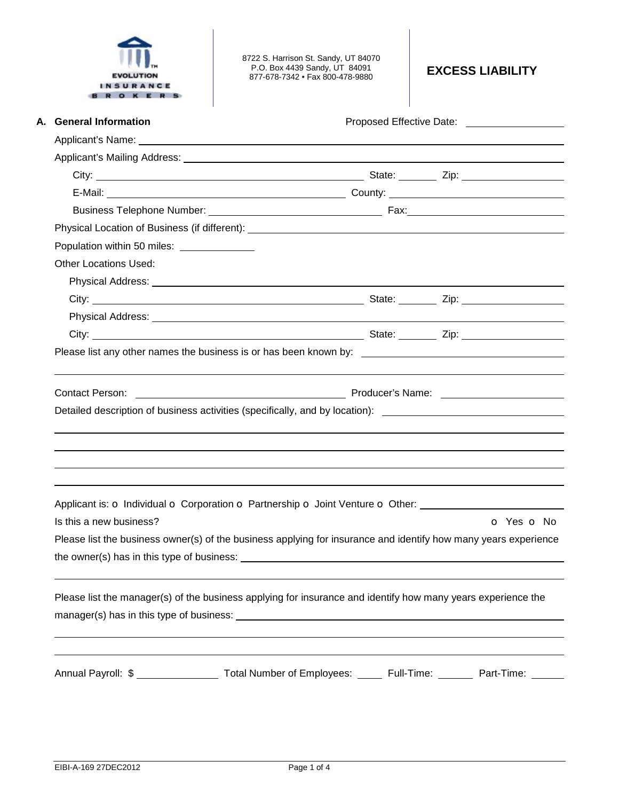

8722 S. Harrison St. Sandy, UT 84070 P.O. Box 4439 Sandy, UT 84091 877-678-7342 • Fax 800-478-9880 **EXCESS LIABILITY** 

| A. General Information                                                                                                                                                                                                              | Proposed Effective Date: ____________________ |            |
|-------------------------------------------------------------------------------------------------------------------------------------------------------------------------------------------------------------------------------------|-----------------------------------------------|------------|
|                                                                                                                                                                                                                                     |                                               |            |
|                                                                                                                                                                                                                                     |                                               |            |
|                                                                                                                                                                                                                                     |                                               |            |
|                                                                                                                                                                                                                                     |                                               |            |
|                                                                                                                                                                                                                                     |                                               |            |
|                                                                                                                                                                                                                                     |                                               |            |
| Population within 50 miles: ______________                                                                                                                                                                                          |                                               |            |
| <b>Other Locations Used:</b>                                                                                                                                                                                                        |                                               |            |
| Physical Address: <u>Communications</u> Control and Control and Control and Control and Control and Control and Control and Control and Control and Control and Control and Control and Control and Control and Control and Control |                                               |            |
|                                                                                                                                                                                                                                     |                                               |            |
|                                                                                                                                                                                                                                     |                                               |            |
|                                                                                                                                                                                                                                     |                                               |            |
| Please list any other names the business is or has been known by: __________________________________                                                                                                                                |                                               |            |
| Producer's Name: <b>Example 2018</b> Producer's Name:<br><b>Contact Person:</b>                                                                                                                                                     |                                               |            |
| ,我们也不会有什么。""我们的人,我们也不会有什么?""我们的人,我们也不会有什么?""我们的人,我们也不会有什么?""我们的人,我们也不会有什么?""我们的人                                                                                                                                                    |                                               |            |
| Applicant is: o Individual o Corporation o Partnership o Joint Venture o Other: ____________________                                                                                                                                |                                               |            |
| Is this a new business?                                                                                                                                                                                                             |                                               | O Yes O No |
| Please list the business owner(s) of the business applying for insurance and identify how many years experience                                                                                                                     |                                               |            |
|                                                                                                                                                                                                                                     |                                               |            |
| Please list the manager(s) of the business applying for insurance and identify how many years experience the                                                                                                                        |                                               |            |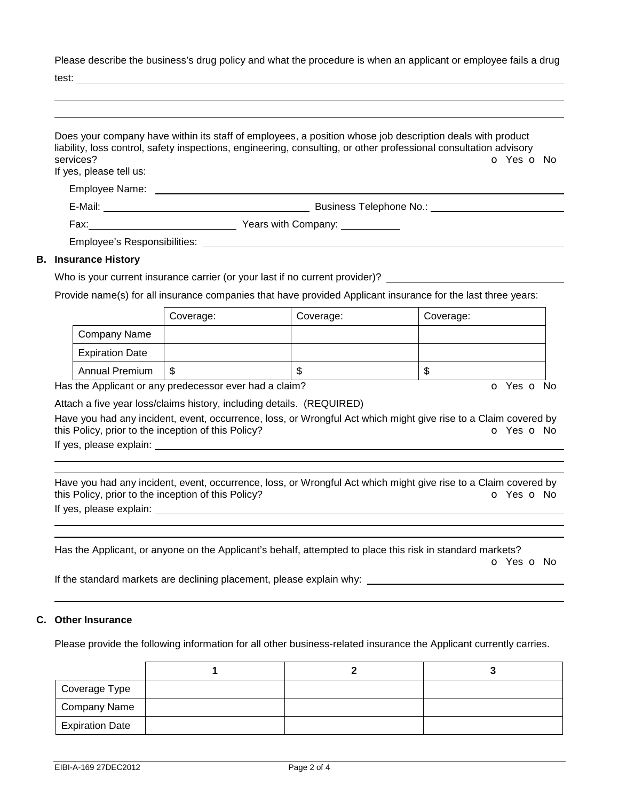Please describe the business's drug policy and what the procedure is when an applicant or employee fails a drug

test:

| services?<br>If yes, please tell us:<br>Employee Name: Laterature and the contract of the contract of the contract of the contract of the contract of the contract of the contract of the contract of the contract of the contract of the contract of the contract of | Does your company have within its staff of employees, a position whose job description deals with product<br>liability, loss control, safety inspections, engineering, consulting, or other professional consultation advisory<br>O Yes O No |
|-----------------------------------------------------------------------------------------------------------------------------------------------------------------------------------------------------------------------------------------------------------------------|----------------------------------------------------------------------------------------------------------------------------------------------------------------------------------------------------------------------------------------------|
|                                                                                                                                                                                                                                                                       |                                                                                                                                                                                                                                              |
|                                                                                                                                                                                                                                                                       |                                                                                                                                                                                                                                              |
| Employee's Responsibilities:                                                                                                                                                                                                                                          |                                                                                                                                                                                                                                              |
| <b>B.</b> Insurance History                                                                                                                                                                                                                                           |                                                                                                                                                                                                                                              |

## Who is your current insurance carrier (or your last if no current provider)? \_\_\_\_\_\_\_\_\_

Provide name(s) for all insurance companies that have provided Applicant insurance for the last three years:

|                        | Coverage: | Coverage: | Coverage: |
|------------------------|-----------|-----------|-----------|
| Company Name           |           |           |           |
| <b>Expiration Date</b> |           |           |           |
| <b>Annual Premium</b>  | \$        | ۰D        | ۰D        |

Has the Applicant or any predecessor ever had a claim? The Contract of Monocomusic Contract of No. The Contract O

Attach a five year loss/claims history, including details. (REQUIRED)

Have you had any incident, event, occurrence, loss, or Wrongful Act which might give rise to a Claim covered by this Policy, prior to the inception of this Policy? **o** Yes **o** No

If yes, please explain:

 

 

Have you had any incident, event, occurrence, loss, or Wrongful Act which might give rise to a Claim covered by this Policy, prior to the inception of this Policy? **o** Yes **o** No

If yes, please explain:

| Has the Applicant, or anyone on the Applicant's behalf, attempted to place this risk in standard markets? |            |
|-----------------------------------------------------------------------------------------------------------|------------|
|                                                                                                           | o Yes o No |

If the standard markets are declining placement, please explain why:

## **C. Other Insurance**

Please provide the following information for all other business-related insurance the Applicant currently carries.

| Coverage Type          |  |  |
|------------------------|--|--|
| Company Name           |  |  |
| <b>Expiration Date</b> |  |  |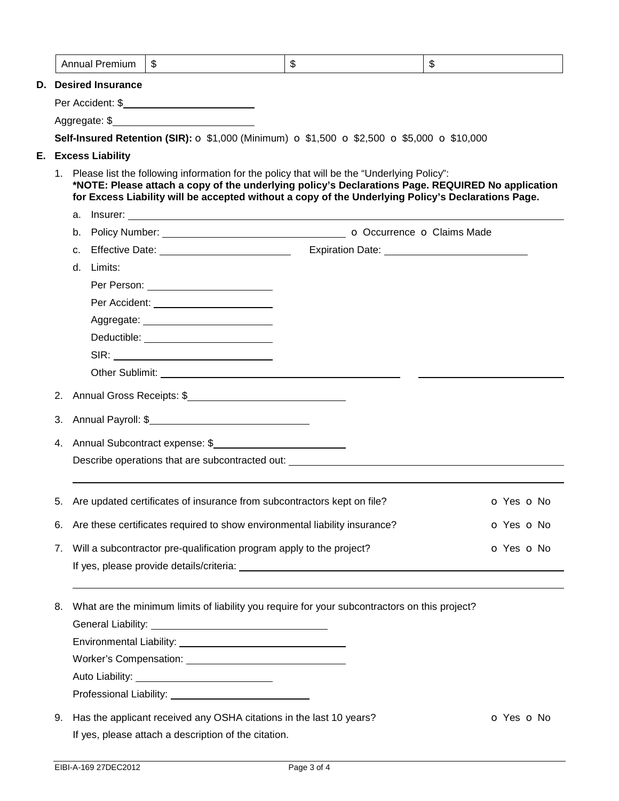| \$<br>\$<br><b>Annual Premium</b><br>\$<br>Aggregate: \$<br>Self-Insured Retention (SIR): O \$1,000 (Minimum) O \$1,500 O \$2,500 O \$5,000 O \$10,000<br>1. Please list the following information for the policy that will be the "Underlying Policy":<br>*NOTE: Please attach a copy of the underlying policy's Declarations Page. REQUIRED No application<br>for Excess Liability will be accepted without a copy of the Underlying Policy's Declarations Page.<br>Expiration Date: <u>contract and the contract of the set of the contract of the contract of the contract of the contract of the contract of the contract of the contract of the contract of the contract of the contract of the </u><br>d. Limits:<br>Per Accident: _________________________<br>Deductible: ____________________________<br>Annual Gross Receipts: \$<br>2.<br>Annual Payroll: \$<br>3.<br>Annual Subcontract expense: \$<br>4.<br>Describe operations that are subcontracted out:<br>Are updated certificates of insurance from subcontractors kept on file?<br>5.<br>Are these certificates required to show environmental liability insurance?<br>6.<br>Will a subcontractor pre-qualification program apply to the project?<br>7.<br>What are the minimum limits of liability you require for your subcontractors on this project?<br>8. |            |
|-------------------------------------------------------------------------------------------------------------------------------------------------------------------------------------------------------------------------------------------------------------------------------------------------------------------------------------------------------------------------------------------------------------------------------------------------------------------------------------------------------------------------------------------------------------------------------------------------------------------------------------------------------------------------------------------------------------------------------------------------------------------------------------------------------------------------------------------------------------------------------------------------------------------------------------------------------------------------------------------------------------------------------------------------------------------------------------------------------------------------------------------------------------------------------------------------------------------------------------------------------------------------------------------------------------------------------------|------------|
| <b>D.</b> Desired Insurance<br>E. Excess Liability                                                                                                                                                                                                                                                                                                                                                                                                                                                                                                                                                                                                                                                                                                                                                                                                                                                                                                                                                                                                                                                                                                                                                                                                                                                                                  |            |
|                                                                                                                                                                                                                                                                                                                                                                                                                                                                                                                                                                                                                                                                                                                                                                                                                                                                                                                                                                                                                                                                                                                                                                                                                                                                                                                                     |            |
|                                                                                                                                                                                                                                                                                                                                                                                                                                                                                                                                                                                                                                                                                                                                                                                                                                                                                                                                                                                                                                                                                                                                                                                                                                                                                                                                     |            |
|                                                                                                                                                                                                                                                                                                                                                                                                                                                                                                                                                                                                                                                                                                                                                                                                                                                                                                                                                                                                                                                                                                                                                                                                                                                                                                                                     |            |
|                                                                                                                                                                                                                                                                                                                                                                                                                                                                                                                                                                                                                                                                                                                                                                                                                                                                                                                                                                                                                                                                                                                                                                                                                                                                                                                                     |            |
|                                                                                                                                                                                                                                                                                                                                                                                                                                                                                                                                                                                                                                                                                                                                                                                                                                                                                                                                                                                                                                                                                                                                                                                                                                                                                                                                     |            |
|                                                                                                                                                                                                                                                                                                                                                                                                                                                                                                                                                                                                                                                                                                                                                                                                                                                                                                                                                                                                                                                                                                                                                                                                                                                                                                                                     |            |
|                                                                                                                                                                                                                                                                                                                                                                                                                                                                                                                                                                                                                                                                                                                                                                                                                                                                                                                                                                                                                                                                                                                                                                                                                                                                                                                                     |            |
|                                                                                                                                                                                                                                                                                                                                                                                                                                                                                                                                                                                                                                                                                                                                                                                                                                                                                                                                                                                                                                                                                                                                                                                                                                                                                                                                     |            |
|                                                                                                                                                                                                                                                                                                                                                                                                                                                                                                                                                                                                                                                                                                                                                                                                                                                                                                                                                                                                                                                                                                                                                                                                                                                                                                                                     |            |
|                                                                                                                                                                                                                                                                                                                                                                                                                                                                                                                                                                                                                                                                                                                                                                                                                                                                                                                                                                                                                                                                                                                                                                                                                                                                                                                                     |            |
|                                                                                                                                                                                                                                                                                                                                                                                                                                                                                                                                                                                                                                                                                                                                                                                                                                                                                                                                                                                                                                                                                                                                                                                                                                                                                                                                     |            |
|                                                                                                                                                                                                                                                                                                                                                                                                                                                                                                                                                                                                                                                                                                                                                                                                                                                                                                                                                                                                                                                                                                                                                                                                                                                                                                                                     |            |
|                                                                                                                                                                                                                                                                                                                                                                                                                                                                                                                                                                                                                                                                                                                                                                                                                                                                                                                                                                                                                                                                                                                                                                                                                                                                                                                                     |            |
|                                                                                                                                                                                                                                                                                                                                                                                                                                                                                                                                                                                                                                                                                                                                                                                                                                                                                                                                                                                                                                                                                                                                                                                                                                                                                                                                     |            |
|                                                                                                                                                                                                                                                                                                                                                                                                                                                                                                                                                                                                                                                                                                                                                                                                                                                                                                                                                                                                                                                                                                                                                                                                                                                                                                                                     |            |
|                                                                                                                                                                                                                                                                                                                                                                                                                                                                                                                                                                                                                                                                                                                                                                                                                                                                                                                                                                                                                                                                                                                                                                                                                                                                                                                                     |            |
|                                                                                                                                                                                                                                                                                                                                                                                                                                                                                                                                                                                                                                                                                                                                                                                                                                                                                                                                                                                                                                                                                                                                                                                                                                                                                                                                     |            |
|                                                                                                                                                                                                                                                                                                                                                                                                                                                                                                                                                                                                                                                                                                                                                                                                                                                                                                                                                                                                                                                                                                                                                                                                                                                                                                                                     |            |
|                                                                                                                                                                                                                                                                                                                                                                                                                                                                                                                                                                                                                                                                                                                                                                                                                                                                                                                                                                                                                                                                                                                                                                                                                                                                                                                                     |            |
|                                                                                                                                                                                                                                                                                                                                                                                                                                                                                                                                                                                                                                                                                                                                                                                                                                                                                                                                                                                                                                                                                                                                                                                                                                                                                                                                     |            |
|                                                                                                                                                                                                                                                                                                                                                                                                                                                                                                                                                                                                                                                                                                                                                                                                                                                                                                                                                                                                                                                                                                                                                                                                                                                                                                                                     | O Yes O No |
|                                                                                                                                                                                                                                                                                                                                                                                                                                                                                                                                                                                                                                                                                                                                                                                                                                                                                                                                                                                                                                                                                                                                                                                                                                                                                                                                     | O Yes O No |
|                                                                                                                                                                                                                                                                                                                                                                                                                                                                                                                                                                                                                                                                                                                                                                                                                                                                                                                                                                                                                                                                                                                                                                                                                                                                                                                                     | o Yes o No |
|                                                                                                                                                                                                                                                                                                                                                                                                                                                                                                                                                                                                                                                                                                                                                                                                                                                                                                                                                                                                                                                                                                                                                                                                                                                                                                                                     |            |
|                                                                                                                                                                                                                                                                                                                                                                                                                                                                                                                                                                                                                                                                                                                                                                                                                                                                                                                                                                                                                                                                                                                                                                                                                                                                                                                                     |            |
|                                                                                                                                                                                                                                                                                                                                                                                                                                                                                                                                                                                                                                                                                                                                                                                                                                                                                                                                                                                                                                                                                                                                                                                                                                                                                                                                     |            |
|                                                                                                                                                                                                                                                                                                                                                                                                                                                                                                                                                                                                                                                                                                                                                                                                                                                                                                                                                                                                                                                                                                                                                                                                                                                                                                                                     |            |
|                                                                                                                                                                                                                                                                                                                                                                                                                                                                                                                                                                                                                                                                                                                                                                                                                                                                                                                                                                                                                                                                                                                                                                                                                                                                                                                                     |            |
|                                                                                                                                                                                                                                                                                                                                                                                                                                                                                                                                                                                                                                                                                                                                                                                                                                                                                                                                                                                                                                                                                                                                                                                                                                                                                                                                     |            |
|                                                                                                                                                                                                                                                                                                                                                                                                                                                                                                                                                                                                                                                                                                                                                                                                                                                                                                                                                                                                                                                                                                                                                                                                                                                                                                                                     |            |
| Has the applicant received any OSHA citations in the last 10 years?<br>9.                                                                                                                                                                                                                                                                                                                                                                                                                                                                                                                                                                                                                                                                                                                                                                                                                                                                                                                                                                                                                                                                                                                                                                                                                                                           | O Yes O No |

If yes, please attach a description of the citation.